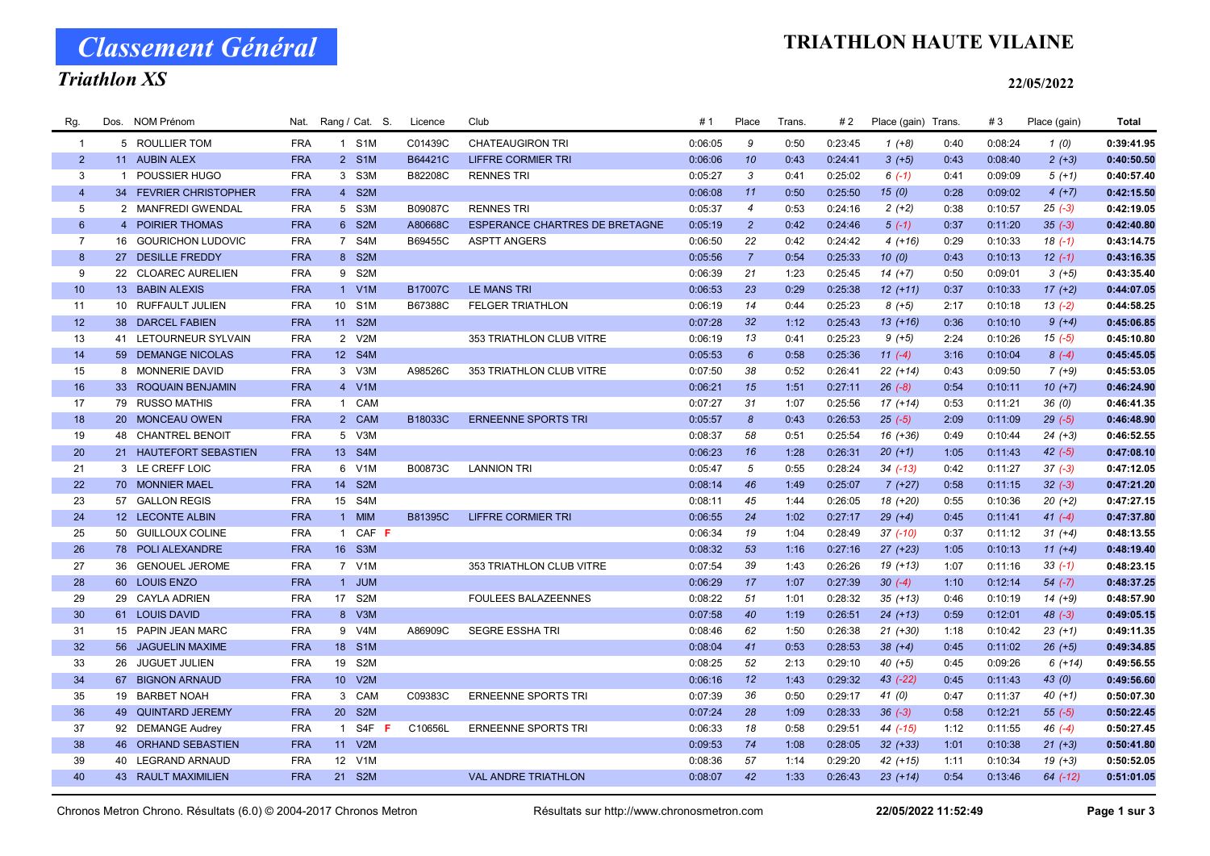# Classement Général

## Triathlon XS

### TRIATHLON HAUTE VILAINE

#### 22/05/2022

| Rg.             | Dos. | <b>NOM Prénom</b>          | Nat.       | Rang / Cat. S.             | Licence        | Club                                  | #1      | Place            | <b>Trans</b> | # 2     | Place (gain) Trans. |      | #3      | Place (gain) | <b>Total</b> |
|-----------------|------|----------------------------|------------|----------------------------|----------------|---------------------------------------|---------|------------------|--------------|---------|---------------------|------|---------|--------------|--------------|
| $\overline{1}$  |      | 5 ROULLIER TOM             | <b>FRA</b> | 1 S1M                      | C01439C        | <b>CHATEAUGIRON TRI</b>               | 0:06:05 | 9                | 0:50         | 0:23:45 | $1 (+8)$            | 0:40 | 0:08:24 | 1(0)         | 0:39:41.95   |
| $2^{\circ}$     |      | 11 AUBIN ALEX              | <b>FRA</b> | 2 S1M                      | B64421C        | <b>LIFFRE CORMIER TRI</b>             | 0:06:06 | 10               | 0:43         | 0:24:41 | $3(+5)$             | 0:43 | 0:08:40 | $2(+3)$      | 0:40:50.50   |
| 3               |      | 1 POUSSIER HUGO            | <b>FRA</b> | 3 S3M                      | B82208C        | <b>RENNES TRI</b>                     | 0:05:27 | 3                | 0:41         | 0:25:02 | $6(-1)$             | 0:41 | 0:09:09 | $5(+1)$      | 0:40:57.40   |
| $\overline{4}$  |      | 34 FEVRIER CHRISTOPHER     | <b>FRA</b> | 4 S2M                      |                |                                       | 0:06:08 | 11               | 0:50         | 0:25:50 | 15(0)               | 0:28 | 0:09:02 | $4(+7)$      | 0:42:15.50   |
| 5               |      | 2 MANFREDI GWENDAL         | <b>FRA</b> | 5 S3M                      | B09087C        | <b>RENNES TRI</b>                     | 0:05:37 | $\overline{4}$   | 0:53         | 0:24:16 | $2(+2)$             | 0:38 | 0:10:57 | $25(-3)$     | 0:42:19.05   |
| $6\phantom{1}$  |      | 4 POIRIER THOMAS           | <b>FRA</b> | 6 S2M                      | A80668C        | <b>ESPERANCE CHARTRES DE BRETAGNE</b> | 0:05:19 | $\overline{2}$   | 0:42         | 0:24:46 | $5(-1)$             | 0:37 | 0:11:20 | $35(-3)$     | 0:42:40.80   |
| $\overline{7}$  |      | 16 GOURICHON LUDOVIC       | <b>FRA</b> | 7 S4M                      | B69455C        | <b>ASPTT ANGERS</b>                   | 0:06:50 | 22               | 0:42         | 0:24:42 | $4(+16)$            | 0:29 | 0:10:33 | $18(-1)$     | 0:43:14.75   |
| 8               |      | 27 DESILLE FREDDY          | <b>FRA</b> | 8 S2M                      |                |                                       | 0:05:56 | $\overline{7}$   | 0:54         | 0:25:33 | 10(0)               | 0:43 | 0:10:13 | $12(-1)$     | 0:43:16.35   |
| 9               |      | 22 CLOAREC AURELIEN        | <b>FRA</b> | 9 S2M                      |                |                                       | 0:06:39 | 21               | 1:23         | 0:25:45 | $14 (+7)$           | 0:50 | 0:09:01 | $3(+5)$      | 0:43:35.40   |
| 10 <sup>°</sup> |      | 13 BABIN ALEXIS            | <b>FRA</b> | 1 V1M                      | <b>B17007C</b> | <b>LE MANS TRI</b>                    | 0:06:53 | 23               | 0:29         | 0:25:38 | $12 (+11)$          | 0:37 | 0:10:33 | $17 (+2)$    | 0:44:07.05   |
| 11              |      | 10 RUFFAULT JULIEN         | <b>FRA</b> | 10<br>S <sub>1</sub> M     | B67388C        | <b>FELGER TRIATHLON</b>               | 0:06:19 | 14               | 0:44         | 0:25:23 | $8 (+5)$            | 2:17 | 0:10:18 | $13(-2)$     | 0:44:58.25   |
| 12              |      | 38 DARCEL FABIEN           | <b>FRA</b> | 11<br>S <sub>2M</sub>      |                |                                       | 0:07:28 | 32               | 1:12         | 0:25:43 | $13(+16)$           | 0:36 | 0:10:10 | $9 (+4)$     | 0:45:06.85   |
| 13              |      | 41 LETOURNEUR SYLVAIN      | <b>FRA</b> | V2M<br>2                   |                | 353 TRIATHLON CLUB VITRE              | 0:06:19 | 13               | 0:41         | 0:25:23 | $9(+5)$             | 2:24 | 0:10:26 | $15(-5)$     | 0:45:10.80   |
| 14              |      | 59 DEMANGE NICOLAS         | <b>FRA</b> | 12 S4M                     |                |                                       | 0:05:53 | $6\overline{6}$  | 0:58         | 0:25:36 | $11(-4)$            | 3:16 | 0:10:04 | $8(-4)$      | 0:45:45.05   |
| 15              |      | 8 MONNERIE DAVID           | <b>FRA</b> | 3 V3M                      | A98526C        | 353 TRIATHLON CLUB VITRE              | 0:07:50 | 38               | 0:52         | 0:26:41 | $22 (+14)$          | 0:43 | 0:09:50 | $7(+9)$      | 0:45:53.05   |
| 16              |      | 33 ROQUAIN BENJAMIN        | <b>FRA</b> | 4 V1M                      |                |                                       | 0:06:21 | 15               | 1:51         | 0:27:11 | $26(-8)$            | 0:54 | 0:10:11 | $10(+7)$     | 0:46:24.90   |
| 17              |      | 79 RUSSO MATHIS            | <b>FRA</b> | CAM<br>$\mathbf{1}$        |                |                                       | 0:07:27 | 31               | 1:07         | 0:25:56 | $17(+14)$           | 0:53 | 0:11:21 | 36(0)        | 0:46:41.35   |
| 18              |      | 20 MONCEAU OWEN            | <b>FRA</b> | 2 CAM                      | B18033C        | <b>ERNEENNE SPORTS TRI</b>            | 0:05:57 | $\boldsymbol{8}$ | 0:43         | 0:26:53 | $25(-5)$            | 2:09 | 0:11:09 | $29(-5)$     | 0:46:48.90   |
| 19              |      | 48 CHANTREL BENOIT         | <b>FRA</b> | 5 V3M                      |                |                                       | 0:08:37 | 58               | 0:51         | 0:25:54 | $16(+36)$           | 0:49 | 0:10:44 | $24 (+3)$    | 0:46:52.55   |
| 20              |      | 21 HAUTEFORT SEBASTIEN     | <b>FRA</b> | 13 S4M                     |                |                                       | 0:06:23 | 16               | 1:28         | 0:26:31 | $20 (+1)$           | 1:05 | 0:11:43 | $42 (-5)$    | 0:47:08.10   |
| 21              |      | 3 LE CREFF LOIC            | <b>FRA</b> | 6 V1M                      | B00873C        | <b>LANNION TRI</b>                    | 0:05:47 | 5                | 0:55         | 0:28:24 | $34$ $(-13)$        | 0:42 | 0:11:27 | $37 (-3)$    | 0:47:12.05   |
| 22              |      | 70 MONNIER MAEL            | <b>FRA</b> | 14<br>S <sub>2</sub> M     |                |                                       | 0:08:14 | 46               | 1:49         | 0:25:07 | $7(+27)$            | 0:58 | 0:11:15 | $32 (-3)$    | 0:47:21.20   |
| 23              |      | 57 GALLON REGIS            | <b>FRA</b> | S4M<br>15                  |                |                                       | 0:08:11 | 45               | 1:44         | 0:26:05 | 18 (+20)            | 0:55 | 0:10:36 | $20(+2)$     | 0:47:27.15   |
| 24              |      | 12 LECONTE ALBIN           | <b>FRA</b> | 1 MIM                      | <b>B81395C</b> | <b>LIFFRE CORMIER TRI</b>             | 0:06:55 | 24               | 1:02         | 0:27:17 | $29 (+4)$           | 0:45 | 0:11:41 | $41 (-4)$    | 0:47:37.80   |
| 25              |      | 50 GUILLOUX COLINE         | <b>FRA</b> | CAF F<br>$\overline{1}$    |                |                                       | 0:06:34 | 19               | 1:04         | 0:28:49 | $37$ $(-10)$        | 0:37 | 0:11:12 | $31 (+4)$    | 0:48:13.55   |
| 26              |      | 78 POLI ALEXANDRE          | <b>FRA</b> | 16 S3M                     |                |                                       | 0:08:32 | 53               | 1:16         | 0:27:16 | $27 (+23)$          | 1:05 | 0:10:13 | $11 (+4)$    | 0:48:19.40   |
| 27              |      | 36 GENOUEL JEROME          | <b>FRA</b> | 7 V1M                      |                | 353 TRIATHLON CLUB VITRE              | 0:07:54 | 39               | 1:43         | 0:26:26 | $19(+13)$           | 1:07 | 0:11:16 | $33(-1)$     | 0:48:23.15   |
| 28              |      | 60 LOUIS ENZO              | <b>FRA</b> | 1 JUM                      |                |                                       | 0:06:29 | 17               | 1:07         | 0:27:39 | $30 (-4)$           | 1:10 | 0:12:14 | $54 (-7)$    | 0:48:37.25   |
| 29              |      | 29 CAYLA ADRIEN            | <b>FRA</b> | 17 S2M                     |                | <b>FOULEES BALAZEENNES</b>            | 0:08:22 | 51               | 1:01         | 0:28:32 | $35 (+13)$          | 0:46 | 0:10:19 | $14(+9)$     | 0:48:57.90   |
| 30 <sup>°</sup> |      | 61 LOUIS DAVID             | <b>FRA</b> | 8 V3M                      |                |                                       | 0:07:58 | 40               | 1:19         | 0:26:51 | $24 (+13)$          | 0:59 | 0:12:01 | $48(-3)$     | 0:49:05.15   |
| 31              |      | 15 PAPIN JEAN MARC         | <b>FRA</b> | 9 V4M                      | A86909C        | <b>SEGRE ESSHA TRI</b>                | 0:08:46 | 62               | 1:50         | 0:26:38 | $21 (+30)$          | 1:18 | 0:10:42 | $23(+1)$     | 0:49:11.35   |
| 32              |      | 56 JAGUELIN MAXIME         | <b>FRA</b> | S <sub>1</sub> M<br>18     |                |                                       | 0:08:04 | 41               | 0:53         | 0:28:53 | $38 (+4)$           | 0:45 | 0:11:02 | $26 (+5)$    | 0:49:34.85   |
| 33              |      | 26 JUGUET JULIEN           | <b>FRA</b> | S <sub>2</sub> M<br>19     |                |                                       | 0:08:25 | 52               | 2:13         | 0:29:10 | $40 (+5)$           | 0:45 | 0:09:26 | $6(+14)$     | 0:49:56.55   |
| 34              |      | 67 BIGNON ARNAUD           | <b>FRA</b> | 10 V2M                     |                |                                       | 0:06:16 | 12               | 1:43         | 0:29:32 | 43 (-22)            | 0:45 | 0:11:43 | 43(0)        | 0:49:56.60   |
| 35              |      | 19 BARBET NOAH             | <b>FRA</b> | 3 CAM                      | C09383C        | <b>ERNEENNE SPORTS TRI</b>            | 0:07:39 | 36               | 0:50         | 0:29:17 | 41(0)               | 0:47 | 0:11:37 | $40 (+1)$    | 0:50:07.30   |
| 36              |      | 49 QUINTARD JEREMY         | <b>FRA</b> | 20<br>S <sub>2M</sub>      |                |                                       | 0:07:24 | 28               | 1:09         | 0:28:33 | $36(-3)$            | 0:58 | 0:12:21 | $55 (-5)$    | 0:50:22.45   |
| 37              |      | 92 DEMANGE Audrey          | <b>FRA</b> | S4F<br>$\overline{1}$<br>F | C10656L        | <b>ERNEENNE SPORTS TRI</b>            | 0:06:33 | 18               | 0:58         | 0:29:51 | 44 (-15)            | 1:12 | 0:11:55 | $46(-4)$     | 0:50:27.45   |
| 38              |      | 46 ORHAND SEBASTIEN        | <b>FRA</b> | 11 V2M                     |                |                                       | 0:09:53 | 74               | 1:08         | 0:28:05 | $32 (+33)$          | 1:01 | 0:10:38 | $21 (+3)$    | 0:50:41.80   |
| 39              |      | 40 LEGRAND ARNAUD          | <b>FRA</b> | 12 <sup>2</sup><br>V1M     |                |                                       | 0:08:36 | 57               | 1:14         | 0:29:20 | 42 (+15)            | 1:11 | 0:10:34 | $19(+3)$     | 0:50:52.05   |
| 40              |      | <b>43 RAULT MAXIMILIEN</b> | <b>FRA</b> | 21 S2M                     |                | <b>VAL ANDRE TRIATHLON</b>            | 0:08:07 | 42               | 1:33         | 0:26:43 | $23 (+14)$          | 0:54 | 0:13:46 | $64$ $(-12)$ | 0:51:01.05   |
|                 |      |                            |            |                            |                |                                       |         |                  |              |         |                     |      |         |              |              |

Chronos Metron Chrono. Résultats (6.0) © 2004-2017 Chronos Metron Résultats sur http://www.chronosmetron.com 22/05/2022 11:52:49 Page 1 sur 3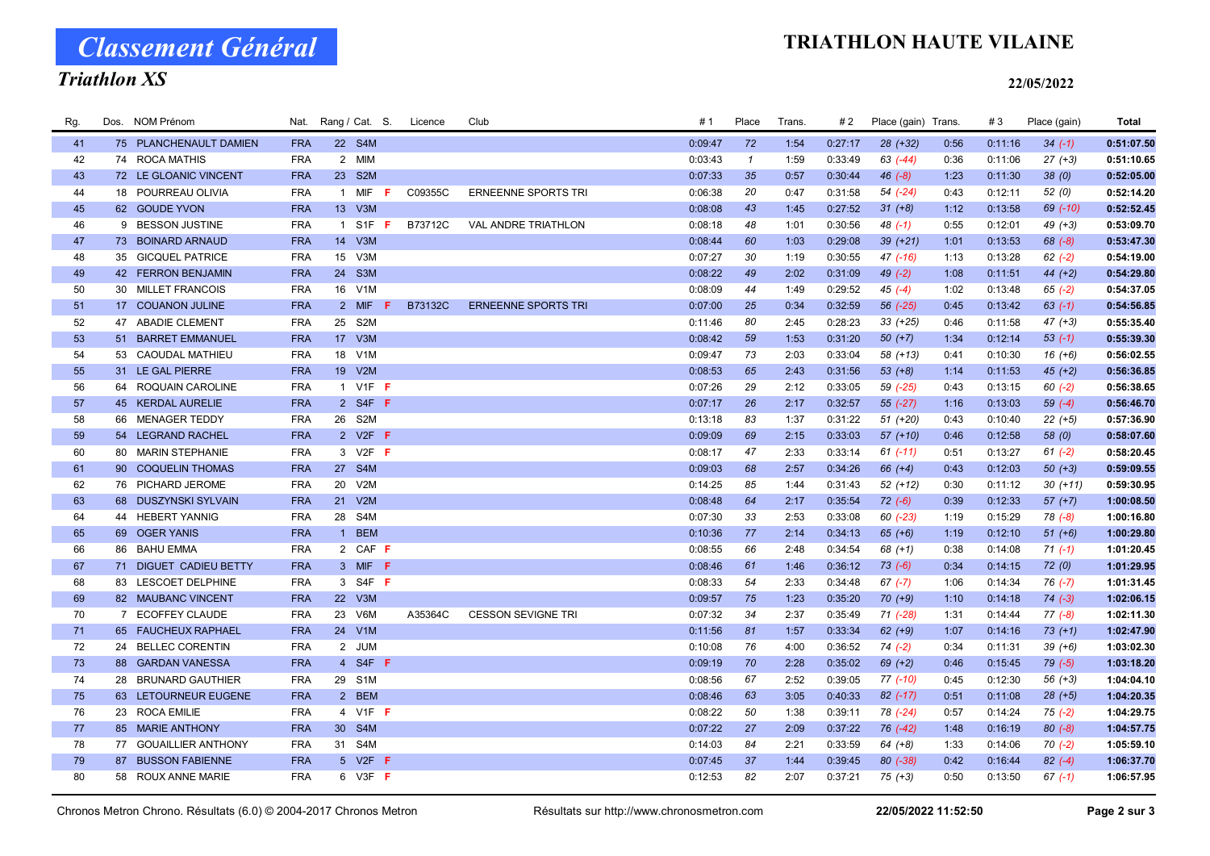# Classement Général

## Triathlon XS

### TRIATHLON HAUTE VILAINE

#### 22/05/2022

| Rg. | Dos. | <b>NOM Prénom</b>      | Nat.       | Rang / Cat. S.                      | Licence | Club                       | # 1     | Place         | <b>Trans</b> | #2      | Place (gain) Trans. |      | #3      | Place (gain) | Total      |
|-----|------|------------------------|------------|-------------------------------------|---------|----------------------------|---------|---------------|--------------|---------|---------------------|------|---------|--------------|------------|
| 41  |      | 75 PLANCHENAULT DAMIEN | <b>FRA</b> | 22 S4M                              |         |                            | 0:09:47 | 72            | 1:54         | 0:27:17 | 28 (+32)            | 0:56 | 0:11:16 | $34 (-1)$    | 0:51:07.50 |
| 42  |      | 74 ROCA MATHIS         | <b>FRA</b> | 2 MIM                               |         |                            | 0:03:43 | $\mathcal{I}$ | 1:59         | 0:33:49 | 63 (-44)            | 0:36 | 0:11:06 | $27 (+3)$    | 0:51:10.65 |
| 43  |      | 72 LE GLOANIC VINCENT  | <b>FRA</b> | 23 S2M                              |         |                            | 0:07:33 | 35            | 0:57         | 0:30:44 | $46(-8)$            | 1:23 | 0:11:30 | 38(0)        | 0:52:05.00 |
| 44  |      | 18 POURREAU OLIVIA     | <b>FRA</b> | 1 MIF<br>F                          | C09355C | <b>ERNEENNE SPORTS TRI</b> | 0:06:38 | 20            | 0:47         | 0:31:58 | 54 (-24)            | 0:43 | 0:12:11 | 52(0)        | 0:52:14.20 |
| 45  |      | 62 GOUDE YVON          | <b>FRA</b> | 13 V3M                              |         |                            | 0:08:08 | 43            | 1:45         | 0:27:52 | $31 (+8)$           | 1:12 | 0:13:58 | 69 (-10)     | 0:52:52.45 |
| 46  |      | 9 BESSON JUSTINE       | <b>FRA</b> | 1 S1F F                             | B73712C | <b>VAL ANDRE TRIATHLON</b> | 0:08:18 | 48            | 1:01         | 0:30:56 | $48$ $(-1)$         | 0:55 | 0:12:01 | $49 (+3)$    | 0:53:09.70 |
| 47  |      | 73 BOINARD ARNAUD      | <b>FRA</b> | 14 V3M                              |         |                            | 0:08:44 | 60            | 1:03         | 0:29:08 | $39 (+21)$          | 1:01 | 0:13:53 | $68 (-8)$    | 0:53:47.30 |
| 48  |      | 35 GICQUEL PATRICE     | <b>FRA</b> | V3M<br>15                           |         |                            | 0:07:27 | 30            | 1:19         | 0:30:55 | $47$ (-16)          | 1:13 | 0:13:28 | $62 (-2)$    | 0:54:19.00 |
| 49  |      | 42 FERRON BENJAMIN     | <b>FRA</b> | S <sub>3</sub> M<br>24              |         |                            | 0:08:22 | 49            | 2:02         | 0:31:09 | 49 $(-2)$           | 1:08 | 0:11:51 | $44 (+2)$    | 0:54:29.80 |
| 50  |      | 30 MILLET FRANCOIS     | <b>FRA</b> | 16 V1M                              |         |                            | 0:08:09 | 44            | 1:49         | 0:29:52 | $45( -4)$           | 1:02 | 0:13:48 | $65 (-2)$    | 0:54:37.05 |
| 51  |      | 17 COUANON JULINE      | <b>FRA</b> | 2 MIF                               | B73132C | <b>ERNEENNE SPORTS TRI</b> | 0:07:00 | 25            | 0:34         | 0:32:59 | 56 (-25)            | 0:45 | 0:13:42 | $63$ $(-1)$  | 0:54:56.85 |
| 52  |      | 47 ABADIE CLEMENT      | <b>FRA</b> | 25<br>S2M                           |         |                            | 0:11:46 | 80            | 2:45         | 0:28:23 | $33 (+25)$          | 0:46 | 0:11:58 | $47 (+3)$    | 0:55:35.40 |
| 53  |      | 51 BARRET EMMANUEL     | <b>FRA</b> | 17 V3M                              |         |                            | 0:08:42 | 59            | 1:53         | 0:31:20 | $50(+7)$            | 1:34 | 0:12:14 | $53(-1)$     | 0:55:39.30 |
| 54  |      | 53 CAOUDAL MATHIEU     | <b>FRA</b> | V <sub>1</sub> M<br>18              |         |                            | 0:09:47 | 73            | 2:03         | 0:33:04 | 58 (+13)            | 0:41 | 0:10:30 | $16 (+6)$    | 0:56:02.55 |
| 55  |      | 31 LE GAL PIERRE       | <b>FRA</b> | 19 V2M                              |         |                            | 0:08:53 | 65            | 2:43         | 0:31:56 | $53 (+8)$           | 1:14 | 0:11:53 | $45 (+2)$    | 0:56:36.85 |
| 56  |      | 64 ROQUAIN CAROLINE    | <b>FRA</b> | 1 V1F F                             |         |                            | 0:07:26 | 29            | 2:12         | 0:33:05 | 59 (-25)            | 0:43 | 0:13:15 | $60(-2)$     | 0:56:38.65 |
| 57  |      | 45 KERDAL AURELIE      | <b>FRA</b> | 2 S4F F                             |         |                            | 0:07:17 | 26            | 2:17         | 0:32:57 | $55 (-27)$          | 1:16 | 0:13:03 | $59(-4)$     | 0:56:46.70 |
| 58  |      | 66 MENAGER TEDDY       | <b>FRA</b> | 26 S2M                              |         |                            | 0:13:18 | 83            | 1:37         | 0:31:22 | $51 (+20)$          | 0:43 | 0:10:40 | $22 (+5)$    | 0:57:36.90 |
| 59  |      | 54 LEGRAND RACHEL      | <b>FRA</b> | 2 V2F F                             |         |                            | 0:09:09 | 69            | 2:15         | 0:33:03 | 57 (+10)            | 0:46 | 0:12:58 | 58 (0)       | 0:58:07.60 |
| 60  |      | 80 MARIN STEPHANIE     | <b>FRA</b> | 3 V2F <b>F</b>                      |         |                            | 0:08:17 | 47            | 2:33         | 0:33:14 | $61$ $(-11)$        | 0:51 | 0:13:27 | $61 (-2)$    | 0:58:20.45 |
| 61  |      | 90 COQUELIN THOMAS     | <b>FRA</b> | 27 S4M                              |         |                            | 0:09:03 | 68            | 2:57         | 0:34:26 | $66 (+4)$           | 0:43 | 0:12:03 | $50 (+3)$    | 0:59:09.55 |
| 62  |      | 76 PICHARD JEROME      | <b>FRA</b> | 20<br>V2M                           |         |                            | 0:14:25 | 85            | 1:44         | 0:31:43 | 52 (+12)            | 0:30 | 0:11:12 | $30 (+11)$   | 0:59:30.95 |
| 63  |      | 68 DUSZYNSKI SYLVAIN   | <b>FRA</b> | V2M<br>21                           |         |                            | 0:08:48 | 64            | 2:17         | 0:35:54 | $72(-6)$            | 0:39 | 0:12:33 | $57 (+7)$    | 1:00:08.50 |
| 64  |      | 44 HEBERT YANNIG       | <b>FRA</b> | S4M<br>28                           |         |                            | 0:07:30 | 33            | 2:53         | 0:33:08 | $60$ $(-23)$        | 1:19 | 0:15:29 | 78 (-8)      | 1:00:16.80 |
| 65  |      | 69 OGER YANIS          | <b>FRA</b> | 1 BEM                               |         |                            | 0:10:36 | 77            | 2:14         | 0:34:13 | $65 (+6)$           | 1:19 | 0:12:10 | $51 (+6)$    | 1:00:29.80 |
| 66  |      | 86 BAHU EMMA           | <b>FRA</b> | 2 CAF F                             |         |                            | 0:08:55 | 66            | 2:48         | 0:34:54 | $68 (+1)$           | 0:38 | 0:14:08 | $71(-1)$     | 1:01:20.45 |
| 67  |      | 71 DIGUET CADIEU BETTY | <b>FRA</b> | 3 MIF F                             |         |                            | 0:08:46 | 61            | 1:46         | 0:36:12 | $73( -6)$           | 0:34 | 0:14:15 | 72(0)        | 1:01:29.95 |
| 68  |      | 83 LESCOET DELPHINE    | <b>FRA</b> | 3 S4F <b>F</b>                      |         |                            | 0:08:33 | 54            | 2:33         | 0:34:48 | $67$ $(-7)$         | 1:06 | 0:14:34 | $76$ $(-7)$  | 1:01:31.45 |
| 69  |      | 82 MAUBANC VINCENT     | <b>FRA</b> | 22 V3M                              |         |                            | 0:09:57 | 75            | 1:23         | 0:35:20 | $70 (+9)$           | 1:10 | 0:14:18 | $74 (-3)$    | 1:02:06.15 |
| 70  |      | 7 ECOFFEY CLAUDE       | <b>FRA</b> | V6M<br>23                           | A35364C | <b>CESSON SEVIGNE TRI</b>  | 0:07:32 | 34            | 2:37         | 0:35:49 | 71 (-28)            | 1:31 | 0:14:44 | $77(-8)$     | 1:02:11.30 |
| 71  |      | 65 FAUCHEUX RAPHAEL    | <b>FRA</b> | 24<br>V1M                           |         |                            | 0:11:56 | 81            | 1:57         | 0:33:34 | $62 (+9)$           | 1:07 | 0:14:16 | $73(+1)$     | 1:02:47.90 |
| 72  |      | 24 BELLEC CORENTIN     | <b>FRA</b> | 2 JUM                               |         |                            | 0:10:08 | 76            | 4:00         | 0:36:52 | $74 (-2)$           | 0:34 | 0:11:31 | $39 (+6)$    | 1:03:02.30 |
| 73  |      | 88 GARDAN VANESSA      | <b>FRA</b> | 4 S4F F                             |         |                            | 0:09:19 | 70            | 2:28         | 0:35:02 | $69 (+2)$           | 0:46 | 0:15:45 | $79(-5)$     | 1:03:18.20 |
| 74  |      | 28 BRUNARD GAUTHIER    | <b>FRA</b> | 29 S1M                              |         |                            | 0:08:56 | 67            | 2:52         | 0:39:05 | 77 (-10)            | 0:45 | 0:12:30 | $56 (+3)$    | 1:04:04.10 |
| 75  |      | 63 LETOURNEUR EUGENE   | <b>FRA</b> | 2 BEM                               |         |                            | 0:08:46 | 63            | 3:05         | 0:40:33 | $82$ (-17)          | 0:51 | 0:11:08 | $28 (+5)$    | 1:04:20.35 |
| 76  |      | 23 ROCA EMILIE         | <b>FRA</b> | 4 V1F F                             |         |                            | 0:08:22 | 50            | 1:38         | 0:39:11 | 78 (-24)            | 0:57 | 0:14:24 | $75(-2)$     | 1:04:29.75 |
| 77  |      | 85 MARIE ANTHONY       | <b>FRA</b> | 30 <sup>°</sup><br>S <sub>4</sub> M |         |                            | 0:07:22 | 27            | 2:09         | 0:37:22 | $76$ $(-42)$        | 1:48 | 0:16:19 | $80 (-8)$    | 1:04:57.75 |
| 78  |      | 77 GOUAILLIER ANTHONY  | <b>FRA</b> | 31 S4M                              |         |                            | 0:14:03 | 84            | 2:21         | 0:33:59 | $64 (+8)$           | 1:33 | 0:14:06 | $70(-2)$     | 1:05:59.10 |
| 79  |      | 87 BUSSON FABIENNE     | <b>FRA</b> | 5 V2F <b>F</b>                      |         |                            | 0:07:45 | 37            | 1:44         | 0:39:45 | $80$ $(-38)$        | 0:42 | 0:16:44 | $82(-4)$     | 1:06:37.70 |
| 80  |      | 58 ROUX ANNE MARIE     | <b>FRA</b> | 6 V3F <b>F</b>                      |         |                            | 0:12:53 | 82            | 2:07         | 0:37:21 | $75 (+3)$           | 0:50 | 0:13:50 | $67(-1)$     | 1:06:57.95 |

Chronos Metron Chrono. Résultats (6.0) © 2004-2017 Chronos Metron Résultats sur http://www.chronosmetron.com 22/05/2022 11:52:50 Page 2 sur 3